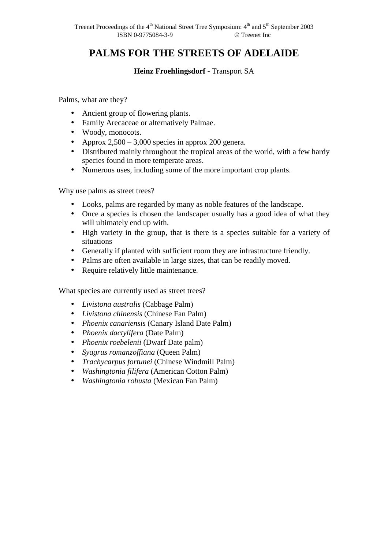## **PALMS FOR THE STREETS OF ADELAIDE**

## **Heinz Froehlingsdorf - Transport SA**

Palms, what are they?

- Ancient group of flowering plants.
- Family Arecaceae or alternatively Palmae.
- Woody, monocots.
- Approx  $2,500 3,000$  species in approx 200 genera.
- Distributed mainly throughout the tropical areas of the world, with a few hardy species found in more temperate areas.
- Numerous uses, including some of the more important crop plants.

Why use palms as street trees?

- Looks, palms are regarded by many as noble features of the landscape.
- Once a species is chosen the landscaper usually has a good idea of what they will ultimately end up with.
- High variety in the group, that is there is a species suitable for a variety of situations
- Generally if planted with sufficient room they are infrastructure friendly.
- Palms are often available in large sizes, that can be readily moved.
- Require relatively little maintenance.

What species are currently used as street trees?

- *Livistona australis* (Cabbage Palm)
- *Livistona chinensis* (Chinese Fan Palm)
- *Phoenix canariensis* (Canary Island Date Palm)
- *Phoenix dactylifera* (Date Palm)
- *Phoenix roebelenii* (Dwarf Date palm)
- *Syagrus romanzoffiana* (Queen Palm)
- *Trachycarpus fortunei* (Chinese Windmill Palm)
- *Washingtonia filifera* (American Cotton Palm)
- *Washingtonia robusta* (Mexican Fan Palm)